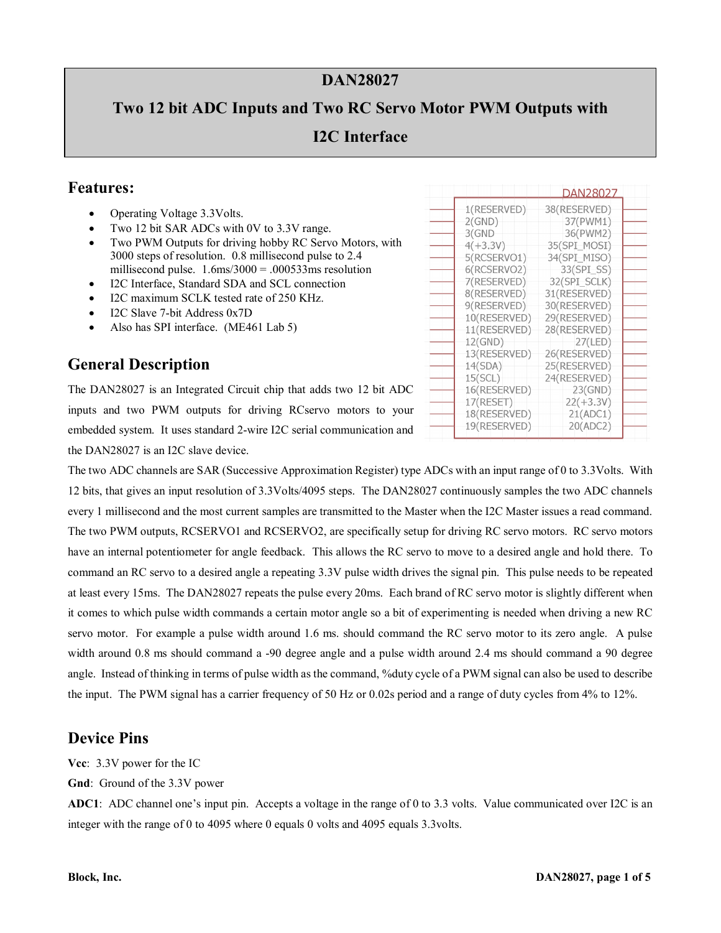### **DAN28027**

# **Two 12 bit ADC Inputs and Two RC Servo Motor PWM Outputs with I2C Interface**

#### **Features:**

- Operating Voltage 3.3Volts.
- Two 12 bit SAR ADCs with 0V to 3.3V range.
- Two PWM Outputs for driving hobby RC Servo Motors, with 3000 steps of resolution. 0.8 millisecond pulse to 2.4 millisecond pulse.  $1.6 \text{ms}/3000 = .000533 \text{ms}$  resolution
- I2C Interface, Standard SDA and SCL connection
- I2C maximum SCLK tested rate of 250 KHz.
- I2C Slave 7-bit Address 0x7D
- Also has SPI interface. (ME461 Lab 5)

## **General Description**

The DAN28027 is an Integrated Circuit chip that adds two 12 bit ADC inputs and two PWM outputs for driving RCservo motors to your embedded system. It uses standard 2-wire I2C serial communication and the DAN28027 is an I2C slave device.

The two ADC channels are SAR (Successive Approximation Register) type ADCs with an input range of 0 to 3.3Volts. With 12 bits, that gives an input resolution of 3.3Volts/4095 steps. The DAN28027 continuously samples the two ADC channels every 1 millisecond and the most current samples are transmitted to the Master when the I2C Master issues a read command. The two PWM outputs, RCSERVO1 and RCSERVO2, are specifically setup for driving RC servo motors. RC servo motors have an internal potentiometer for angle feedback. This allows the RC servo to move to a desired angle and hold there. To command an RC servo to a desired angle a repeating 3.3V pulse width drives the signal pin. This pulse needs to be repeated at least every 15ms. The DAN28027 repeats the pulse every 20ms. Each brand of RC servo motor is slightly different when it comes to which pulse width commands a certain motor angle so a bit of experimenting is needed when driving a new RC servo motor. For example a pulse width around 1.6 ms. should command the RC servo motor to its zero angle. A pulse width around 0.8 ms should command a -90 degree angle and a pulse width around 2.4 ms should command a 90 degree angle. Instead of thinking in terms of pulse width as the command, %duty cycle of a PWM signal can also be used to describe the input. The PWM signal has a carrier frequency of 50 Hz or 0.02s period and a range of duty cycles from 4% to 12%.

#### **Device Pins**

**Vcc**: 3.3V power for the IC

**Gnd**: Ground of the 3.3V power

**ADC1**: ADC channel one's input pin. Accepts a voltage in the range of 0 to 3.3 volts. Value communicated over I2C is an integer with the range of 0 to 4095 where 0 equals 0 volts and 4095 equals 3.3volts.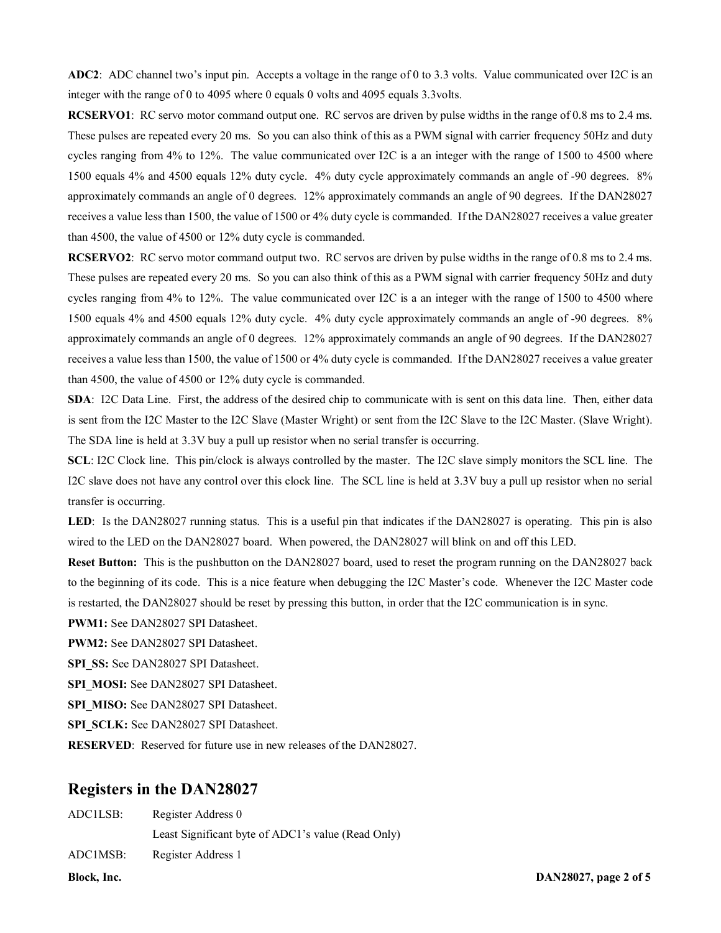**ADC2**: ADC channel two's input pin. Accepts a voltage in the range of 0 to 3.3 volts. Value communicated over I2C is an integer with the range of 0 to 4095 where 0 equals 0 volts and 4095 equals 3.3volts.

**RCSERVO1**: RC servo motor command output one. RC servos are driven by pulse widths in the range of 0.8 ms to 2.4 ms. These pulses are repeated every 20 ms. So you can also think of this as a PWM signal with carrier frequency 50Hz and duty cycles ranging from 4% to 12%. The value communicated over I2C is a an integer with the range of 1500 to 4500 where 1500 equals 4% and 4500 equals 12% duty cycle. 4% duty cycle approximately commands an angle of -90 degrees. 8% approximately commands an angle of 0 degrees. 12% approximately commands an angle of 90 degrees. If the DAN28027 receives a value less than 1500, the value of 1500 or 4% duty cycle is commanded. If the DAN28027 receives a value greater than 4500, the value of 4500 or 12% duty cycle is commanded.

**RCSERVO2**: RC servo motor command output two. RC servos are driven by pulse widths in the range of 0.8 ms to 2.4 ms. These pulses are repeated every 20 ms. So you can also think of this as a PWM signal with carrier frequency 50Hz and duty cycles ranging from 4% to 12%. The value communicated over I2C is a an integer with the range of 1500 to 4500 where 1500 equals 4% and 4500 equals 12% duty cycle. 4% duty cycle approximately commands an angle of -90 degrees. 8% approximately commands an angle of 0 degrees. 12% approximately commands an angle of 90 degrees. If the DAN28027 receives a value less than 1500, the value of 1500 or 4% duty cycle is commanded. If the DAN28027 receives a value greater than 4500, the value of 4500 or 12% duty cycle is commanded.

**SDA**: I2C Data Line. First, the address of the desired chip to communicate with is sent on this data line. Then, either data is sent from the I2C Master to the I2C Slave (Master Wright) or sent from the I2C Slave to the I2C Master. (Slave Wright). The SDA line is held at 3.3V buy a pull up resistor when no serial transfer is occurring.

**SCL**: I2C Clock line. This pin/clock is always controlled by the master. The I2C slave simply monitors the SCL line. The I2C slave does not have any control over this clock line. The SCL line is held at 3.3V buy a pull up resistor when no serial transfer is occurring.

LED: Is the DAN28027 running status. This is a useful pin that indicates if the DAN28027 is operating. This pin is also wired to the LED on the DAN28027 board. When powered, the DAN28027 will blink on and off this LED.

**Reset Button:** This is the pushbutton on the DAN28027 board, used to reset the program running on the DAN28027 back to the beginning of its code. This is a nice feature when debugging the I2C Master's code. Whenever the I2C Master code is restarted, the DAN28027 should be reset by pressing this button, in order that the I2C communication is in sync.

**PWM1:** See DAN28027 SPI Datasheet.

**PWM2:** See DAN28027 SPI Datasheet.

SPI\_SS: See DAN28027 SPI Datasheet.

**SPI\_MOSI:** See DAN28027 SPI Datasheet.

**SPI\_MISO:** See DAN28027 SPI Datasheet.

SPI\_SCLK: See DAN28027 SPI Datasheet.

**RESERVED**: Reserved for future use in new releases of the DAN28027.

#### **Registers in the DAN28027**

| Block. Inc. |                                                    | DAN28027, page 2 of 5 |
|-------------|----------------------------------------------------|-----------------------|
| ADC1MSB:    | Register Address 1                                 |                       |
|             | Least Significant byte of ADC1's value (Read Only) |                       |
| ADCILSB:    | Register Address 0                                 |                       |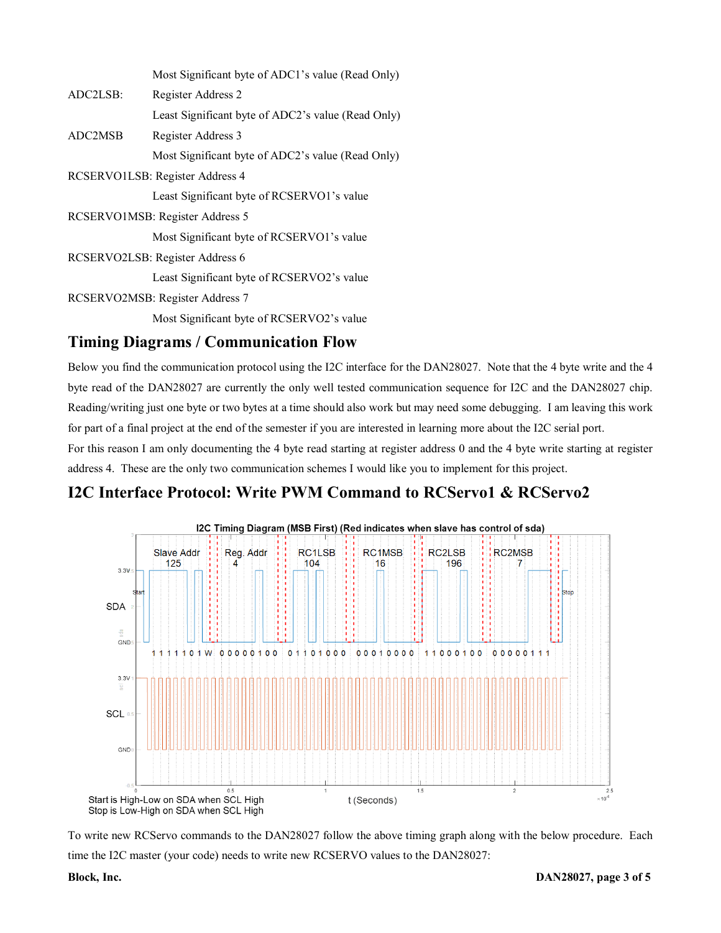|          | Most Significant byte of ADC1's value (Read Only)  |
|----------|----------------------------------------------------|
| ADC2LSB: | Register Address 2                                 |
|          | Least Significant byte of ADC2's value (Read Only) |
| ADC2MSB  | Register Address 3                                 |
|          | Most Significant byte of ADC2's value (Read Only)  |
|          | RCSERVO1LSB: Register Address 4                    |
|          | Least Significant byte of RCSERVO1's value         |
|          | RCSERVO1MSB: Register Address 5                    |
|          | Most Significant byte of RCSERVO1's value          |
|          | RCSERVO2LSB: Register Address 6                    |
|          | Least Significant byte of RCSERVO2's value         |
|          | RCSERVO2MSB: Register Address 7                    |
|          |                                                    |

Most Significant byte of RCSERVO2's value

#### **Timing Diagrams / Communication Flow**

Below you find the communication protocol using the I2C interface for the DAN28027. Note that the 4 byte write and the 4 byte read of the DAN28027 are currently the only well tested communication sequence for I2C and the DAN28027 chip. Reading/writing just one byte or two bytes at a time should also work but may need some debugging. I am leaving this work for part of a final project at the end of the semester if you are interested in learning more about the I2C serial port.

For this reason I am only documenting the 4 byte read starting at register address 0 and the 4 byte write starting at register address 4. These are the only two communication schemes I would like you to implement for this project.

#### **I2C Interface Protocol: Write PWM Command to RCServo1 & RCServo2**



To write new RCServo commands to the DAN28027 follow the above timing graph along with the below procedure. Each time the I2C master (your code) needs to write new RCSERVO values to the DAN28027: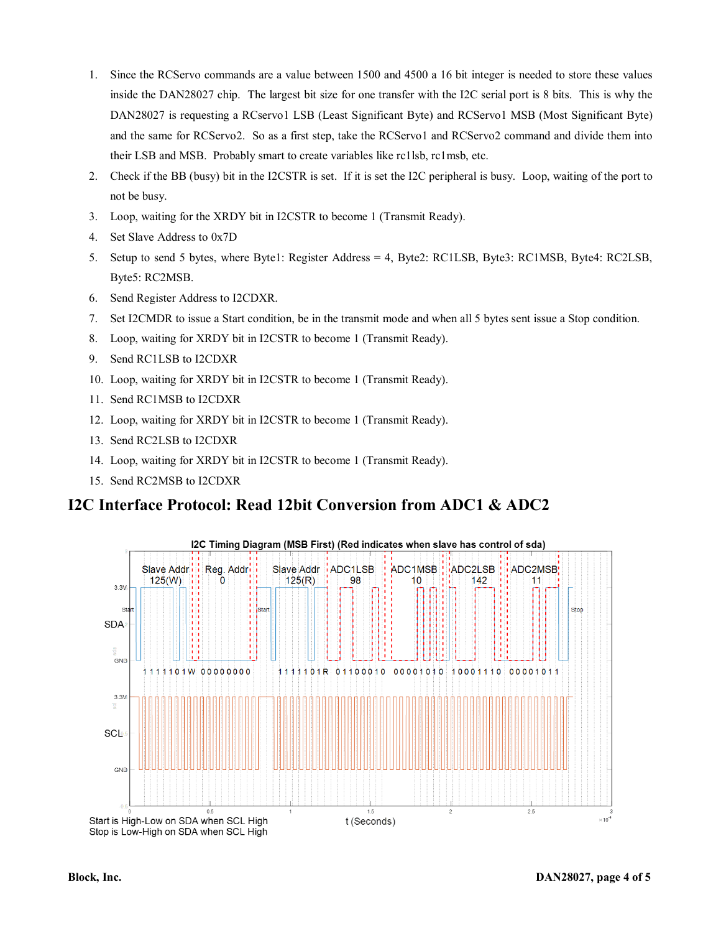- 1. Since the RCServo commands are a value between 1500 and 4500 a 16 bit integer is needed to store these values inside the DAN28027 chip. The largest bit size for one transfer with the I2C serial port is 8 bits. This is why the DAN28027 is requesting a RCservo1 LSB (Least Significant Byte) and RCServo1 MSB (Most Significant Byte) and the same for RCServo2. So as a first step, take the RCServo1 and RCServo2 command and divide them into their LSB and MSB. Probably smart to create variables like rc1lsb, rc1msb, etc.
- 2. Check if the BB (busy) bit in the I2CSTR is set. If it is set the I2C peripheral is busy. Loop, waiting of the port to not be busy.
- 3. Loop, waiting for the XRDY bit in I2CSTR to become 1 (Transmit Ready).
- 4. Set Slave Address to 0x7D
- 5. Setup to send 5 bytes, where Byte1: Register Address = 4, Byte2: RC1LSB, Byte3: RC1MSB, Byte4: RC2LSB, Byte5: RC2MSB.
- 6. Send Register Address to I2CDXR.
- 7. Set I2CMDR to issue a Start condition, be in the transmit mode and when all 5 bytes sent issue a Stop condition.
- 8. Loop, waiting for XRDY bit in I2CSTR to become 1 (Transmit Ready).
- 9. Send RC1LSB to I2CDXR
- 10. Loop, waiting for XRDY bit in I2CSTR to become 1 (Transmit Ready).
- 11. Send RC1MSB to I2CDXR
- 12. Loop, waiting for XRDY bit in I2CSTR to become 1 (Transmit Ready).
- 13. Send RC2LSB to I2CDXR
- 14. Loop, waiting for XRDY bit in I2CSTR to become 1 (Transmit Ready).
- 15. Send RC2MSB to I2CDXR

#### **I2C Interface Protocol: Read 12bit Conversion from ADC1 & ADC2**



I2C Timing Diagram (MSB First) (Red indicates when slave has control of sda)